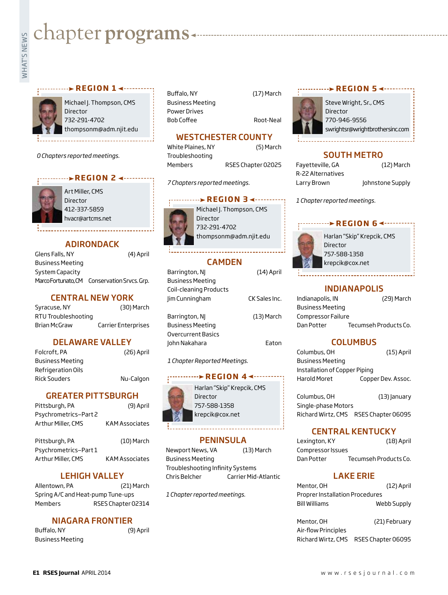# **Exampler programs**<br>Example:<br>Fig.

### **REGION 1 ∢ ········**



Michael J. Thompson, CMS Director 732-291-4702 thompsonm@adm.njit.edu

*0 Chapters reported meetings.*

### **REGION 2**



Art Miller, CMS Director 412-337-5859 hvacr@artcms.net

# ADIRONDACK

Glens Falls, NY (4) April Business Meeting System Capacity Marco Fortunato, CM Conservation Srvcs. Grp.

### CENTRAL NEW YORK

| Syracuse, NY        | (30) March          |
|---------------------|---------------------|
| RTU Troubleshooting |                     |
| Brian McGraw        | Carrier Enterprises |

# DELAWARE VALLEY

| Folcroft, PA        | (26) April |
|---------------------|------------|
| Business Meeting    |            |
| Refrigeration Oils  |            |
| <b>Rick Souders</b> | Nu-Calgon  |

# GREATER PITTSBURGH

| Pittsburgh, PA                              | (9) April             |
|---------------------------------------------|-----------------------|
| Psychrometrics-Part 2<br>Arthur Miller, CMS | <b>KAM Associates</b> |
| Pittsburgh, PA<br>Psychrometrics-Part 1     | $(10)$ March          |
| Arthur Miller, CMS                          | KAM Associates        |

# LEHIGH VALLEY

Allentown, PA (21) March Spring A/C and Heat-pump Tune-ups Members RSES Chapter 02314

# NIAGARA FRONTIER

Buffalo, NY (9) April Business Meeting

Buffalo, NY (17) March Business Meeting Power Drives Bob Coffee Root-Neal

Troubleshooting



Steve Wright, Sr., CMS Director 770-946-9556 swrightsr@wrightbrothersinc.com

**REGION 5** 

# SOUTH METRO

| Fayetteville, GA  |             |
|-------------------|-------------|
| R-22 Alternatives |             |
| Larry Brown       | <b>Johr</b> |

 $(12)$  March nstone Supply

*1 Chapter reported meetings.*

### **BREGION 6 <--------**



Harlan "Skip" Krepcik, CMS **Director** 757-588-1358 krepcik@cox.net

# Barrington, NJ (14) April

| Business Meeting<br>Coil-cleaning Products |               |
|--------------------------------------------|---------------|
| Jim Cunningham                             | CK Sales Inc. |
| Barrington, NJ<br>Business Meeting         | (13) March    |
| Overcurrent Basics                         |               |
| John Nakahara                              | Eaton         |

CAMDEN

**REGION 3 <-------**Michael J. Thompson, CMS

WESTCHESTER COUNTY White Plaines, NY (5) March

Members RSES Chapter 02025

thompsonm@adm.njit.edu

**Director** 732-291-4702

*7 Chapters reported meetings.*

*1 Chapter Reported Meetings.*

### **REGION 44------**



# **PENINSULA**

Newport News, VA (13) March Business Meeting Troubleshooting Infinity Systems Chris Belcher Carrier Mid-Atlantic

*1 Chapter reported meetings.*

# INDIANAPOLIS

| Indianapolis, IN        | (29) March            |
|-------------------------|-----------------------|
| <b>Business Meeting</b> |                       |
| Compressor Failure      |                       |
| Dan Potter              | Tecumseh Products Co. |

# **COLUMBUS**

| Columbus, OH                  | $(15)$ April       |
|-------------------------------|--------------------|
| <b>Business Meeting</b>       |                    |
| Installation of Copper Piping |                    |
| Harold Moret                  | Copper Dev. Assoc. |
|                               |                    |

Columbus, OH (13) January Single-phase Motors Richard Wirtz, CMS RSES Chapter 06095

# CENTRAL KENTUCKY

| Lexington, KY     | (18) April            |
|-------------------|-----------------------|
| Compressor Issues |                       |
| Dan Potter        | Tecumseh Products Co. |

### LAKE ERIE

| Mentor, OH                      | (12) April  |
|---------------------------------|-------------|
| Proprer Installation Procedures |             |
| Bill Williams                   | Webb Supply |

Mentor, OH (21) February Air-flow Principles Richard Wirtz, CMS RSES Chapter 06095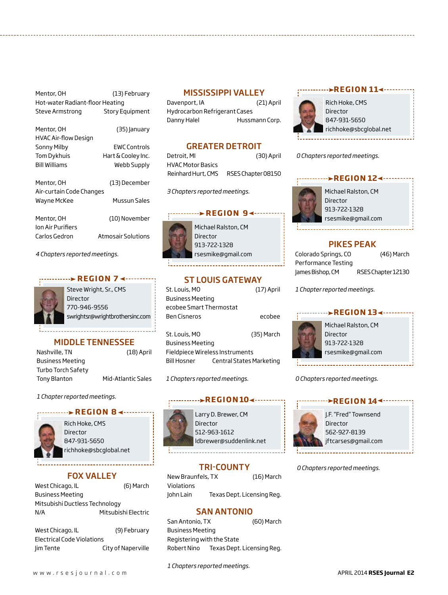| Mentor, OH                      | (13) February          |
|---------------------------------|------------------------|
| Hot-water Radiant-floor Heating |                        |
| Steve Armstrong                 | <b>Story Equipment</b> |

| Mentor, OH               | (35) January        |
|--------------------------|---------------------|
|                          |                     |
| HVAC Air-flow Design     |                     |
| Sonny Milby              | <b>FWC Controls</b> |
| <b>Tom Dykhuis</b>       | Hart & Cooley Inc.  |
| <b>Bill Williams</b>     | Webb Supply         |
|                          |                     |
| Mentor. OH               | (13) December       |
| Air-curtain Code Changes |                     |
| Wayne McKee              | Mussun Sales        |
| Mentor, OH               | (10) November       |
|                          |                     |
| lon Air Purifiers        |                     |
| Carlos Gedron            | Atmosair Solutions  |

Steve Wright, Sr., CMS

**REGION 7 <--------**

MIDDLE TENNESSEE Nashville, TN (18) April

Tony Blanton Mid-Atlantic Sales

swrightsr@wrightbrothersinc.com

Director 770-946-9556

*4 Chapters reported meetings.* 

Business Meeting Turbo Torch Safety MISSISSIPPI VALLEY

Davenport, IA (21) April Hydrocarbon Refrigerant Cases Danny Halel Hussmann Corp.

### GREATER DETROIT

| Detroit, MI        | (30) April         |
|--------------------|--------------------|
| HVAC Motor Basics  |                    |
| Reinhard Hurt, CMS | RSES Chapter 08150 |

*3 Chapters reported meetings.*

### **REGION 9<-----**



Michael Ralston, CM Director 913-722-1328 rsesmike@gmail.com

# ST LOUIS GATEWAY

| St. Louis, MO                   | $(17)$ April             |
|---------------------------------|--------------------------|
| Business Meeting                |                          |
| ecobee Smart Thermostat         |                          |
| Ben Cisneros                    | ecobee                   |
|                                 |                          |
| St. Louis, MO                   | (35) March               |
| Business Meeting                |                          |
| Fieldpiece Wireless Instruments |                          |
| Bill Hosner                     | Central States Marketing |

*1 Chapters reported meetings.*

### **REGION 104....**



Larry D. Brewer, CM Director 512-963-1612 ldbrewer@suddenlink.net

# TRI-COUNTY

New Braunfels, TX (16) March Violations John Lain Texas Dept. Licensing Reg.

### SAN ANTONIO

San Antonio, TX (60) March Business Meeting Registering with the State Robert Nino Texas Dept. Licensing Reg.

### **REGION 114 ·······**



*0 Chapters reported meetings.*

### **REGION 124 · · · · · · ·**



rsesmike@gmail.com

# PIKES PEAK

| Colorado Springs, CO | (46) March         |
|----------------------|--------------------|
| Performance Testing  |                    |
| James Bishop, CM     | RSES Chapter 12130 |

*1 Chapter reported meetings.*

### Michael Ralston, CM Director 913-722-1328 rsesmike@gmail.com **REGION 13∢------**

*0 Chapters reported meetings.*

### **REGION 144 -----**



J.F. "Fred" Townsend Director 562-927-8139 jftcarses@gmail.com

*0 Chapters reported meetings.*

### FOX VALLEY

richhoke@sbcglobal.net

**BEGION 8 <----**

Rich Hoke, CMS Director 847-931-5650

*1 Chapter reported meetings.*

West Chicago, IL (6) March Business Meeting Mitsubishi Ductless Technology N/A Mitsubishi Electric

| West Chicago, IL           | (9) February       |
|----------------------------|--------------------|
| Electrical Code Violations |                    |
| im Tente                   | City of Naperville |

*1 Chapters reported meetings.*